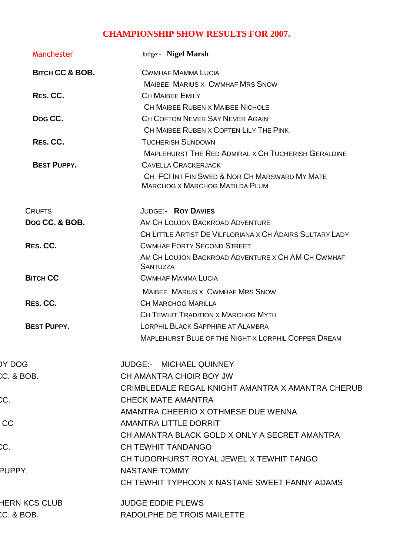## **CHAMPIONSHIP SHOW RESULTS FOR 2007.**

| Manchester                 | Judge:- Nigel Marsh                                                                    |
|----------------------------|----------------------------------------------------------------------------------------|
| <b>BITCH CC &amp; BOB.</b> | <b>CWMHAF MAMMA LUCIA</b>                                                              |
|                            | <b>MAIBEE MARIUS X CWMHAF MRS SNOW</b>                                                 |
| RES. CC.                   | <b>CH MAIBEE EMILY</b>                                                                 |
|                            | <b>CH MAIBEE RUBEN X MAIBEE NICHOLE</b>                                                |
| Dog CC.                    | CH COFTON NEVER SAY NEVER AGAIN                                                        |
|                            | CH MAIBEE RUBEN X COFTEN LILY THE PINK                                                 |
| RES. CC.                   | <b>TUCHERISH SUNDOWN</b>                                                               |
|                            | <b>MAPLEHURST THE RED ADMIRAL X CH TUCHERISH GERALDINE</b>                             |
| <b>BEST PUPPY.</b>         | <b>CAVELLA CRACKERJACK</b>                                                             |
|                            | CH FCI INT FIN SWED & NOR CH MARSWARD MY MATE<br><b>MARCHOG X MARCHOG MATILDA PLUM</b> |
| <b>CRUFTS</b>              | <b>JUDGE:- ROY DAVIES</b>                                                              |
| Dog CC, & BOB.             | AM CH LOUJON BACKROAD ADVENTURE                                                        |
|                            | CH LITTLE ARTIST DE VILFLORIANA X CH ADAIRS SULTARY LADY                               |
| RES. CC.                   | <b>CWMHAF FORTY SECOND STREET</b>                                                      |
|                            | AM CH LOUJON BACKROAD ADVENTURE X CH AM CH CWMHAF<br><b>SANTUZZA</b>                   |
| <b>BITCH CC</b>            | <b>CWMHAF MAMMA LUCIA</b>                                                              |
|                            | <b>MAIBEE MARIUS X CWMHAF MRS SNOW</b>                                                 |
| RES. CC.                   | <b>CH MARCHOG MARILLA</b>                                                              |
|                            | CH TEWHIT TRADITION X MARCHOG MYTH                                                     |
| <b>BEST PUPPY.</b>         | <b>LORPHIL BLACK SAPPHIRE AT ALAMBRA</b>                                               |
|                            | <b>MAPLEHURST BLUE OF THE NIGHT X LORPHIL COPPER DREAM</b>                             |
| DY DOG                     | JUDGE:- MICHAEL QUINNEY                                                                |
| C. & BOB.                  | CH AMANTRA CHOIR BOY JW                                                                |
|                            | CRIMBLEDALE REGAL KNIGHT AMANTRA X AMANTRA CHERUB                                      |
|                            | <b>CHECK MATE AMANTRA</b>                                                              |
|                            | AMANTRA CHEERIO X OTHMESE DUE WENNA                                                    |
| CC                         | AMANTRA LITTLE DORRIT                                                                  |
|                            | CH AMANTRA BLACK GOLD X ONLY A SECRET AMANTRA                                          |
|                            | <b>CH TEWHIT TANDANGO</b>                                                              |
|                            | CH TUDORHURST ROYAL JEWEL X TEWHIT TANGO                                               |
| PUPPY.                     | <b>NASTANE TOMMY</b>                                                                   |
|                            | CH TEWHIT TYPHOON X NASTANE SWEET FANNY ADAMS                                          |
| <b>HERN KCS CLUB</b>       | <b>JUDGE EDDIE PLEWS</b>                                                               |
| C. & BOB.                  | RADOLPHE DE TROIS MAILETTE                                                             |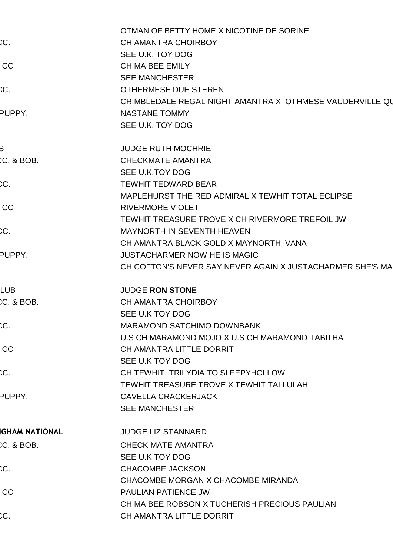|                       | OTMAN OF BETTY HOME X NICOTINE DE SORINE                  |
|-----------------------|-----------------------------------------------------------|
| CС                    | <b>CH AMANTRA CHOIRBOY</b>                                |
|                       | SEE U.K. TOY DOG                                          |
| CC                    | <b>CH MAIBEE EMILY</b>                                    |
|                       | <b>SEE MANCHESTER</b>                                     |
| CС                    | <b>OTHERMESE DUE STEREN</b>                               |
|                       | CRIMBLEDALE REGAL NIGHT AMANTRA X OTHMESE VAUDERVILLE QU  |
| PUPPY.                | <b>NASTANE TOMMY</b>                                      |
|                       | SEE U.K. TOY DOG                                          |
|                       | <b>JUDGE RUTH MOCHRIE</b>                                 |
| C. & BOB.             | <b>CHECKMATE AMANTRA</b>                                  |
|                       | SEE U.K.TOY DOG                                           |
| CC.                   | <b>TEWHIT TEDWARD BEAR</b>                                |
|                       | MAPLEHURST THE RED ADMIRAL X TEWHIT TOTAL ECLIPSE         |
| CC                    | <b>RIVERMORE VIOLET</b>                                   |
|                       | TEWHIT TREASURE TROVE X CH RIVERMORE TREFOIL JW           |
| C                     | <b>MAYNORTH IN SEVENTH HEAVEN</b>                         |
|                       | CH AMANTRA BLACK GOLD X MAYNORTH IVANA                    |
| PUPPY.                | <b>JUSTACHARMER NOW HE IS MAGIC</b>                       |
|                       | CH COFTON'S NEVER SAY NEVER AGAIN X JUSTACHARMER SHE'S MA |
| <b>LUB</b>            | <b>JUDGE RON STONE</b>                                    |
| C. & BOB.             | <b>CH AMANTRA CHOIRBOY</b>                                |
|                       | SEE U.K TOY DOG                                           |
| C.                    | <b>MARAMOND SATCHIMO DOWNBANK</b>                         |
|                       | U.S CH MARAMOND MOJO X U.S CH MARAMOND TABITHA            |
| CC                    | CH AMANTRA LITTLE DORRIT                                  |
|                       | SEE U.K TOY DOG                                           |
| C.                    | CH TEWHIT TRILYDIA TO SLEEPYHOLLOW                        |
|                       | TEWHIT TREASURE TROVE X TEWHIT TALLULAH                   |
| PUPPY.                | <b>CAVELLA CRACKERJACK</b>                                |
|                       | <b>SEE MANCHESTER</b>                                     |
|                       |                                                           |
| <b>IGHAM NATIONAL</b> | <b>JUDGE LIZ STANNARD</b>                                 |
| C. & BOB.             | <b>CHECK MATE AMANTRA</b>                                 |
|                       | SEE U.K TOY DOG                                           |
| CC.                   | <b>CHACOMBE JACKSON</b>                                   |
|                       | CHACOMBE MORGAN X CHACOMBE MIRANDA                        |
| CC                    | <b>PAULIAN PATIENCE JW</b>                                |
|                       | CH MAIBEE ROBSON X TUCHERISH PRECIOUS PAULIAN             |
| CC.                   | CH AMANTRA LITTLE DORRIT                                  |
|                       |                                                           |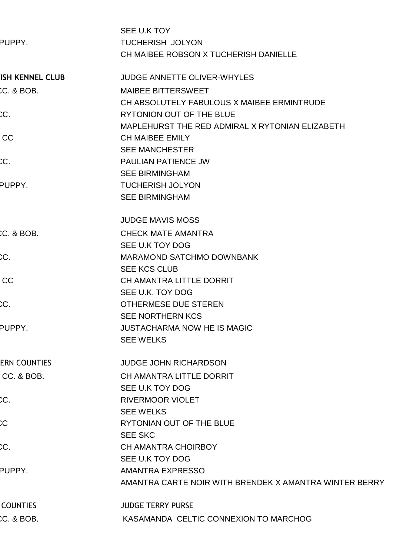|                     | SEE U.K TOY                                            |
|---------------------|--------------------------------------------------------|
| PUPPY.              | <b>TUCHERISH JOLYON</b>                                |
|                     | CH MAIBEE ROBSON X TUCHERISH DANIELLE                  |
| ISH KENNEL CLUB     | <b>JUDGE ANNETTE OLIVER-WHYLES</b>                     |
| C. & BOB.           | MAIBEE BITTERSWEET                                     |
|                     | CH ABSOLUTELY FABULOUS X MAIBEE ERMINTRUDE             |
|                     | RYTONION OUT OF THE BLUE                               |
|                     | MAPLEHURST THE RED ADMIRAL X RYTONIAN ELIZABETH        |
| <b>CC</b>           | <b>CH MAIBEE EMILY</b>                                 |
|                     | <b>SEE MANCHESTER</b>                                  |
| CС                  | <b>PAULIAN PATIENCE JW</b>                             |
|                     | <b>SEE BIRMINGHAM</b>                                  |
| PUPPY.              | <b>TUCHERISH JOLYON</b>                                |
|                     | <b>SEE BIRMINGHAM</b>                                  |
|                     | <b>JUDGE MAVIS MOSS</b>                                |
| CC. & BOB.          | <b>CHECK MATE AMANTRA</b>                              |
|                     | SEE U.K TOY DOG                                        |
|                     | <b>MARAMOND SATCHMO DOWNBANK</b>                       |
|                     | <b>SEE KCS CLUB</b>                                    |
| CC                  | CH AMANTRA LITTLE DORRIT                               |
|                     | SEE U.K. TOY DOG                                       |
|                     | <b>OTHERMESE DUE STEREN</b>                            |
|                     | <b>SEE NORTHERN KCS</b>                                |
| PUPPY.              | <b>JUSTACHARMA NOW HE IS MAGIC</b>                     |
|                     | <b>SEE WELKS</b>                                       |
| <b>ERN COUNTIES</b> | <b>JUDGE JOHN RICHARDSON</b>                           |
| CC. & BOB.          | CH AMANTRA LITTLE DORRIT                               |
|                     | SEE U.K TOY DOG                                        |
|                     | <b>RIVERMOOR VIOLET</b>                                |
|                     | <b>SEE WELKS</b>                                       |
|                     | RYTONIAN OUT OF THE BLUE                               |
|                     | <b>SEE SKC</b>                                         |
|                     | <b>CH AMANTRA CHOIRBOY</b>                             |
|                     | SEE U.K TOY DOG                                        |
| PUPPY.              | <b>AMANTRA EXPRESSO</b>                                |
|                     | AMANTRA CARTE NOIR WITH BRENDEK X AMANTRA WINTER BERRY |
| <b>COUNTIES</b>     | <b>JUDGE TERRY PURSE</b>                               |
| C. & BOB.           | KASAMANDA CELTIC CONNEXION TO MARCHOG                  |
|                     |                                                        |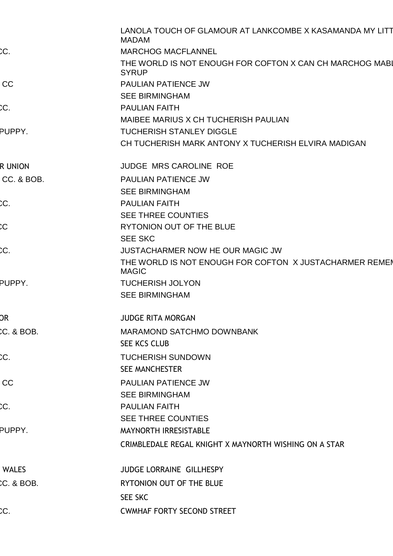|               | LANOLA TOUCH OF GLAMOUR AT LANKCOMBE X KASAMANDA MY LITT<br><b>MADAM</b> |
|---------------|--------------------------------------------------------------------------|
| CC.           | <b>MARCHOG MACFLANNEL</b>                                                |
|               | THE WORLD IS NOT ENOUGH FOR COFTON X CAN CH MARCHOG MABL<br><b>SYRUP</b> |
| CC            | PAULIAN PATIENCE JW                                                      |
|               | <b>SEE BIRMINGHAM</b>                                                    |
| DС            | <b>PAULIAN FAITH</b>                                                     |
|               | MAIBEE MARIUS X CH TUCHERISH PAULIAN                                     |
| PUPPY.        | <b>TUCHERISH STANLEY DIGGLE</b>                                          |
|               | CH TUCHERISH MARK ANTONY X TUCHERISH ELVIRA MADIGAN                      |
| <b>RUNION</b> | <b>JUDGE MRS CAROLINE ROE</b>                                            |
| CC. & BOB.    | PAULIAN PATIENCE JW                                                      |
|               | <b>SEE BIRMINGHAM</b>                                                    |
| CC            | <b>PAULIAN FAITH</b>                                                     |
|               | <b>SEE THREE COUNTIES</b>                                                |
|               | RYTONION OUT OF THE BLUE                                                 |
|               | <b>SEE SKC</b>                                                           |
|               | JUSTACHARMER NOW HE OUR MAGIC JW                                         |
|               | THE WORLD IS NOT ENOUGH FOR COFTON X JUSTACHARMER REMEN<br><b>MAGIC</b>  |
| PUPPY.        | <b>TUCHERISH JOLYON</b>                                                  |
|               | <b>SEE BIRMINGHAM</b>                                                    |
| DR            | <b>JUDGE RITA MORGAN</b>                                                 |
| C. & BOB.     | MARAMOND SATCHMO DOWNBANK                                                |
|               | SEE KCS CLUB                                                             |
| CC            | <b>TUCHERISH SUNDOWN</b>                                                 |
|               | <b>SEE MANCHESTER</b>                                                    |
| CC            | PAULIAN PATIENCE JW                                                      |
|               | <b>SEE BIRMINGHAM</b>                                                    |
|               | <b>PAULIAN FAITH</b>                                                     |
|               | <b>SEE THREE COUNTIES</b>                                                |
| PUPPY.        | MAYNORTH IRRESISTABLE                                                    |
|               | CRIMBLEDALE REGAL KNIGHT X MAYNORTH WISHING ON A STAR                    |
| <b>WALES</b>  | <b>JUDGE LORRAINE GILLHESPY</b>                                          |
| C. & BOB.     | RYTONION OUT OF THE BLUE                                                 |
|               | <b>SEE SKC</b>                                                           |
| CC.           | <b>CWMHAF FORTY SECOND STREET</b>                                        |
|               |                                                                          |
|               |                                                                          |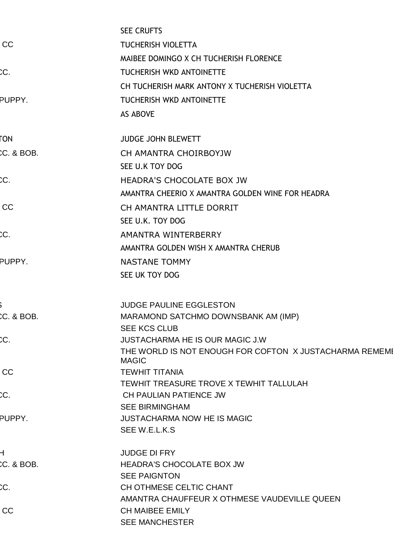|              | <b>SEE CRUFTS</b>                                                       |
|--------------|-------------------------------------------------------------------------|
| CC           | <b>TUCHERISH VIOLETTA</b>                                               |
|              | MAIBEE DOMINGO X CH TUCHERISH FLORENCE                                  |
| CС           | <b>TUCHERISH WKD ANTOINETTE</b>                                         |
|              | CH TUCHERISH MARK ANTONY X TUCHERISH VIOLETTA                           |
| PUPPY.       | <b>TUCHERISH WKD ANTOINETTE</b>                                         |
|              | <b>AS ABOVE</b>                                                         |
| FON          | <b>JUDGE JOHN BLEWETT</b>                                               |
| CC. & BOB.   | CH AMANTRA CHOIRBOYJW                                                   |
|              | SEE U.K TOY DOG                                                         |
| CC.          | <b>HEADRA'S CHOCOLATE BOX JW</b>                                        |
|              | AMANTRA CHEERIO X AMANTRA GOLDEN WINE FOR HEADRA                        |
| CC           | CH AMANTRA LITTLE DORRIT                                                |
|              | SEE U.K. TOY DOG                                                        |
| CС           | AMANTRA WINTERBERRY                                                     |
|              | AMANTRA GOLDEN WISH X AMANTRA CHERUB                                    |
| PUPPY.       | <b>NASTANE TOMMY</b>                                                    |
|              | SEE UK TOY DOG                                                          |
|              | <b>JUDGE PAULINE EGGLESTON</b>                                          |
| C. & BOB.    | MARAMOND SATCHMO DOWNSBANK AM (IMP)                                     |
|              | <b>SEE KCS CLUB</b>                                                     |
| CC.          | <b>JUSTACHARMA HE IS OUR MAGIC J.W</b>                                  |
|              | THE WORLD IS NOT ENOUGH FOR COFTON X JUSTACHARMA REMEME<br><b>MAGIC</b> |
| CC           | <b>TEWHIT TITANIA</b>                                                   |
|              | TEWHIT TREASURE TROVE X TEWHIT TALLULAH                                 |
| C.<br>PUPPY. | CH PAULIAN PATIENCE JW                                                  |
|              | <b>SEE BIRMINGHAM</b>                                                   |
|              | <b>JUSTACHARMA NOW HE IS MAGIC</b><br>SEE W.E.L.K.S                     |
|              | <b>JUDGE DI FRY</b>                                                     |
| C. & BOB.    | HEADRA'S CHOCOLATE BOX JW                                               |
|              | <b>SEE PAIGNTON</b>                                                     |
| CC.          | CH OTHMESE CELTIC CHANT                                                 |
|              | AMANTRA CHAUFFEUR X OTHMESE VAUDEVILLE QUEEN                            |
| CC           | <b>CH MAIBEE EMILY</b><br><b>SEE MANCHESTER</b>                         |
|              |                                                                         |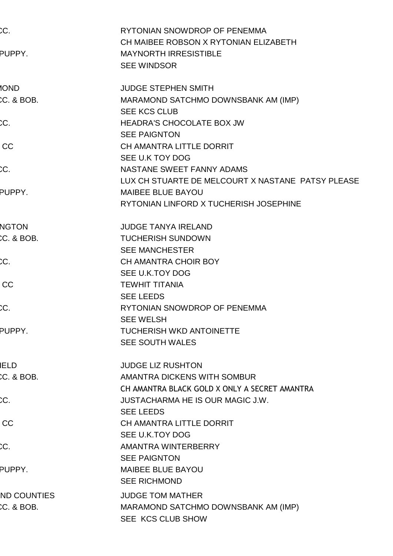| CC.<br>PUPPY.             | RYTONIAN SNOWDROP OF PENEMMA<br>CH MAIBEE ROBSON X RYTONIAN ELIZABETH<br><b>MAYNORTH IRRESISTIBLE</b><br><b>SEE WINDSOR</b> |
|---------------------------|-----------------------------------------------------------------------------------------------------------------------------|
| <b>1</b> OND<br>C. & BOB. | <b>JUDGE STEPHEN SMITH</b>                                                                                                  |
|                           | MARAMOND SATCHMO DOWNSBANK AM (IMP)<br><b>SEE KCS CLUB</b>                                                                  |
| CC.                       | HEADRA'S CHOCOLATE BOX JW                                                                                                   |
|                           | <b>SEE PAIGNTON</b>                                                                                                         |
| <b>CC</b>                 | CH AMANTRA LITTLE DORRIT                                                                                                    |
|                           | SEE U.K TOY DOG                                                                                                             |
|                           | NASTANE SWEET FANNY ADAMS                                                                                                   |
|                           | LUX CH STUARTE DE MELCOURT X NASTANE PATSY PLEASE                                                                           |
| PUPPY.                    | MAIBEE BLUE BAYOU                                                                                                           |
|                           | RYTONIAN LINFORD X TUCHERISH JOSEPHINE                                                                                      |
| <b>NGTON</b>              | <b>JUDGE TANYA IRELAND</b>                                                                                                  |
| $CC.$ & BOB.              | <b>TUCHERISH SUNDOWN</b>                                                                                                    |
|                           | <b>SEE MANCHESTER</b>                                                                                                       |
| CC.                       | <b>CH AMANTRA CHOIR BOY</b>                                                                                                 |
|                           | SEE U.K.TOY DOG                                                                                                             |
| CC                        | <b>TEWHIT TITANIA</b>                                                                                                       |
|                           | <b>SEE LEEDS</b>                                                                                                            |
|                           | RYTONIAN SNOWDROP OF PENEMMA                                                                                                |
|                           | <b>SEE WELSH</b>                                                                                                            |
| PUPPY.                    | <b>TUCHERISH WKD ANTOINETTE</b>                                                                                             |
|                           | <b>SEE SOUTH WALES</b>                                                                                                      |
| <b>IELD</b>               | <b>JUDGE LIZ RUSHTON</b>                                                                                                    |
| C. & BOB.                 | AMANTRA DICKENS WITH SOMBUR                                                                                                 |
|                           | CH AMANTRA BLACK GOLD X ONLY A SECRET AMANTRA                                                                               |
|                           | <b>JUSTACHARMA HE IS OUR MAGIC J.W.</b>                                                                                     |
|                           | <b>SEE LEEDS</b>                                                                                                            |
| <b>CC</b>                 | <b>CH AMANTRA LITTLE DORRIT</b>                                                                                             |
|                           | SEE U.K.TOY DOG                                                                                                             |
| CC.                       | AMANTRA WINTERBERRY                                                                                                         |
|                           | <b>SEE PAIGNTON</b>                                                                                                         |
| PUPPY.                    | <b>MAIBEE BLUE BAYOU</b>                                                                                                    |
|                           | <b>SEE RICHMOND</b>                                                                                                         |
| <b>ND COUNTIES</b>        | <b>JUDGE TOM MATHER</b>                                                                                                     |
| C. & BOB.                 | MARAMOND SATCHMO DOWNSBANK AM (IMP)                                                                                         |
|                           | SEE KCS CLUB SHOW                                                                                                           |